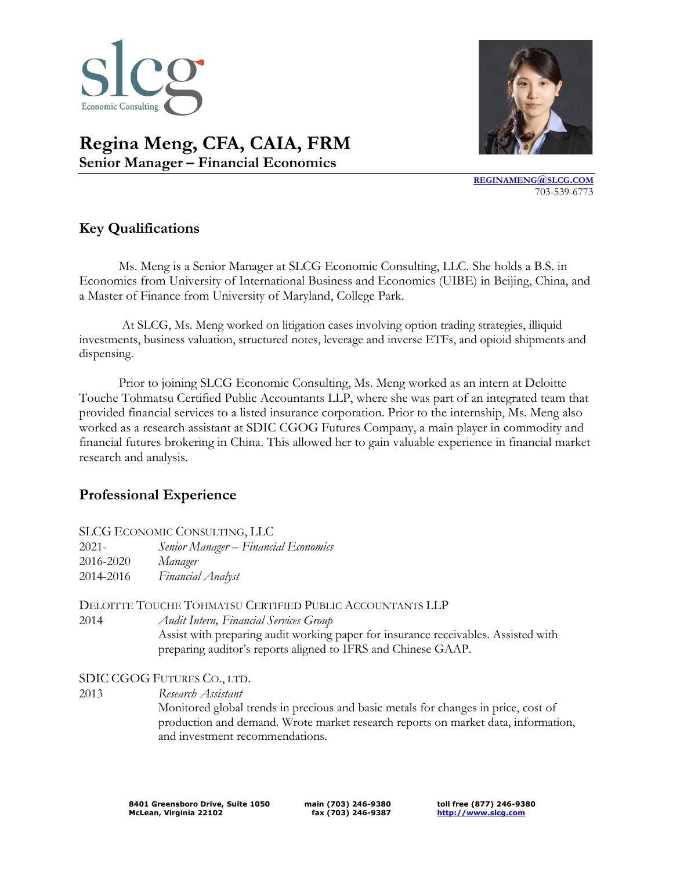

# **Regina Meng, CFA, CAIA, FRM Senior Manager – Financial Economics**



**[REGINAMENG](mailto:REGINAMENG@SLCG.COM)@SLCG.COM** 703-539-6773

## **Key Qualifications**

Ms. Meng is a Senior Manager at SLCG Economic Consulting, LLC. She holds a B.S. in Economics from University of International Business and Economics (UIBE) in Beijing, China, and a Master of Finance from University of Maryland, College Park.

At SLCG, Ms. Meng worked on litigation cases involving option trading strategies, illiquid investments, business valuation, structured notes, leverage and inverse ETFs, and opioid shipments and dispensing.

Prior to joining SLCG Economic Consulting, Ms. Meng worked as an intern at Deloitte Touche Tohmatsu Certified Public Accountants LLP, where she was part of an integrated team that provided financial services to a listed insurance corporation. Prior to the internship, Ms. Meng also worked as a research assistant at SDIC CGOG Futures Company, a main player in commodity and financial futures brokering in China. This allowed her to gain valuable experience in financial market research and analysis.

#### **Professional Experience**

| SLCG ECONOMIC CONSULTING, LLC |  |  |
|-------------------------------|--|--|
|-------------------------------|--|--|

| $2021 -$  | Senior Manager – Financial Economics |
|-----------|--------------------------------------|
| 2016-2020 | Manager                              |
| 2014-2016 | Financial Analyst                    |

DELOITTE TOUCHE TOHMATSU CERTIFIED PUBLIC ACCOUNTANTS LLP

2014 *Audit Intern, Financial Services Group*

Assist with preparing audit working paper for insurance receivables. Assisted with preparing auditor's reports aligned to IFRS and Chinese GAAP.

SDIC CGOG FUTURES CO., LTD.

2013 *Research Assistant*

Monitored global trends in precious and basic metals for changes in price, cost of production and demand. Wrote market research reports on market data, information, and investment recommendations.

**main (703) 246-9380 fax (703) 246-9387** **toll free (877) 246-9380 [http://www.slcg.com](http://www.slcg.com/)**